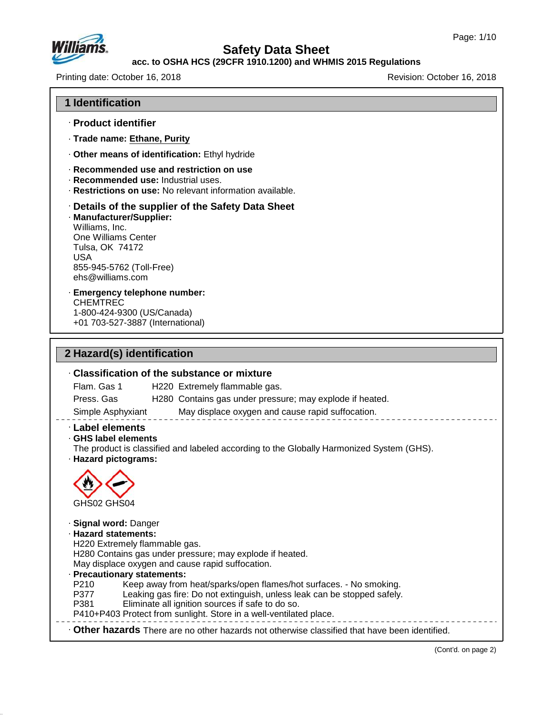

## **acc. to OSHA HCS (29CFR 1910.1200) and WHMIS 2015 Regulations**

Printing date: October 16, 2018 Revision: October 16, 2018

### **1 Identification**

- · **Product identifier**
- · **Trade name: Ethane, Purity**
- · **Other means of identification:** Ethyl hydride
- · **Recommended use and restriction on use**
- · **Recommended use:** Industrial uses.
- · **Restrictions on use:** No relevant information available.

### · **Details of the supplier of the Safety Data Sheet**

· **Manufacturer/Supplier:** Williams, Inc. One Williams Center Tulsa, OK 74172 USA 855-945-5762 (Toll-Free) ehs@williams.com

### · **Emergency telephone number:** CHEMTREC 1-800-424-9300 (US/Canada) +01 703-527-3887 (International)

**2 Hazard(s) identification**

47.0.13

# · **Classification of the substance or mixture** Flam. Gas 1 H220 Extremely flammable gas. Press. Gas H280 Contains gas under pressure; may explode if heated. Simple Asphyxiant May displace oxygen and cause rapid suffocation. · **Label elements** · **GHS label elements** The product is classified and labeled according to the Globally Harmonized System (GHS). · **Hazard pictograms:** GHS02 GHS04 · **Signal word:** Danger · **Hazard statements:** H220 Extremely flammable gas. H280 Contains gas under pressure; may explode if heated. May displace oxygen and cause rapid suffocation. **Precautionary statements:**<br>P210 Keep away from P210 Keep away from heat/sparks/open flames/hot surfaces. - No smoking. Leaking gas fire: Do not extinguish, unless leak can be stopped safely. P381 Eliminate all ignition sources if safe to do so. P410+P403 Protect from sunlight. Store in a well-ventilated place. · **Other hazards** There are no other hazards nototherwise classified that have been identified.

(Cont'd. on page 2)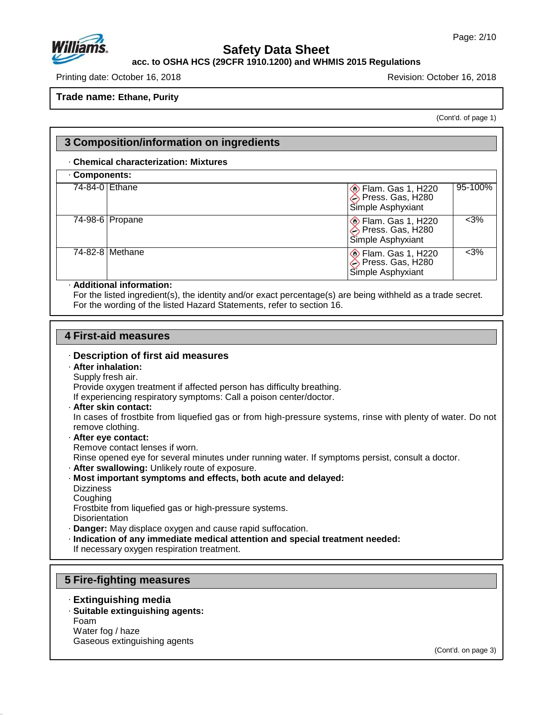

## **acc. to OSHA HCS (29CFR 1910.1200) and WHMIS 2015 Regulations**

Printing date: October 16, 2018 Revision: October 16, 2018

**Trade name: Ethane, Purity**

(Cont'd. of page 1)

| 3 Composition/information on ingredients |                                                                                     |  |  |
|------------------------------------------|-------------------------------------------------------------------------------------|--|--|
| . Chemical characterization: Mixtures    |                                                                                     |  |  |
| Components:                              |                                                                                     |  |  |
| 74-84-0 Ethane                           | 95-100%<br>Elam. Gas 1, H220<br>Press. Gas, H280<br>Simple Asphyxiant               |  |  |
| $74-98-6$ Propane                        | $<3\%$<br><b>Elam. Gas 1, H220</b><br>Press. Gas, H280<br>Simple Asphyxiant         |  |  |
| 74-82-8 Methane                          | $<3\%$<br>$\diamondsuit$ Flam. Gas 1, H220<br>Press. Gas, H280<br>Simple Asphyxiant |  |  |

### · **Additional information:**

For the listed ingredient(s), the identity and/or exact percentage(s) are being withheld as a trade secret. For the wording of the listed Hazard Statements, refer to section 16.

### **4 First-aid measures**

### · **Description of first aid measures**

### · **After inhalation:**

Supply fresh air. Provide oxygen treatment if affected person has difficulty breathing.

If experiencing respiratory symptoms: Call a poison center/doctor.

· **After skin contact:**

In cases of frostbite from liquefied gas or from high-pressure systems, rinse with plenty of water. Do not remove clothing.

- · **After eye contact:**
- Remove contact lenses if worn.

Rinse opened eye for several minutes under running water. If symptoms persist, consult a doctor.

- · **After swallowing:** Unlikely route of exposure.
- · **Most important symptoms and effects, both acute and delayed:**
- **Dizziness**

Coughing

47.0.13

Frostbite from liquefied gas or high-pressure systems.

**Disorientation** 

- · **Danger:** May displace oxygen and cause rapid suffocation.
- · **Indication of any immediate medical attention and special treatment needed:**

If necessary oxygen respiration treatment.

## **5 Fire-fighting measures**

- · **Extinguishing media**
- · **Suitable extinguishing agents:**

Foam Water fog / haze Gaseous extinguishing agents

(Cont'd. on page 3)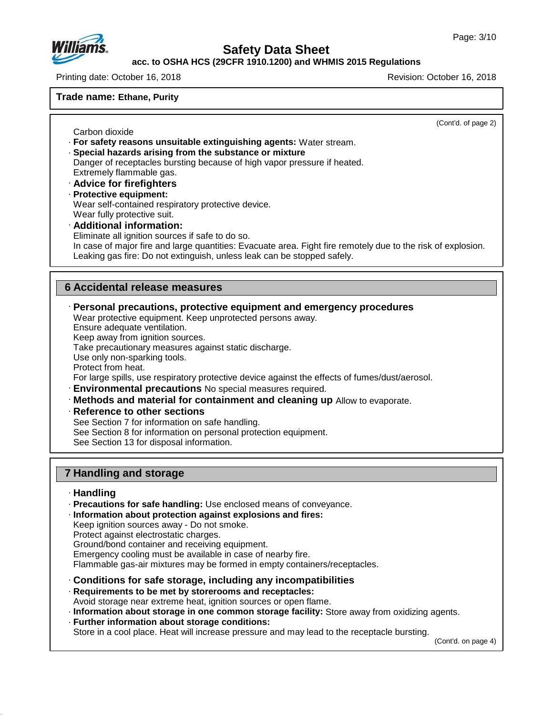

### **acc. to OSHA HCS (29CFR 1910.1200) and WHMIS 2015 Regulations**

Printing date: October 16, 2018 Revision: October 16, 2018

### **Trade name: Ethane, Purity**

Carbon dioxide

(Cont'd. of page 2)

- · **For safety reasons unsuitable extinguishing agents:** Water stream.
- · **Special hazards arising from the substance or mixture** Danger of receptacles bursting because of high vapor pressure if heated.
- Extremely flammable gas.
- · **Advice for firefighters**
- · **Protective equipment:** Wear self-contained respiratory protective device.
- Wear fully protective suit.
- · **Additional information:** Eliminate all ignition sources if safe to do so.

In case of major fire and large quantities: Evacuate area. Fight fire remotely due to the risk of explosion. Leaking gas fire: Do not extinguish, unless leak can be stopped safely.

# **6 Accidental release measures**

### · **Personal precautions, protective equipment and emergency procedures**

Wear protective equipment. Keep unprotected persons away.

Ensure adequate ventilation.

Keep away from ignition sources.

Take precautionary measures against static discharge.

Use only non-sparking tools.

Protect from heat.

For large spills, use respiratory protective device against the effects of fumes/dust/aerosol.

- · **Environmental precautions** No special measures required.
- · **Methods and material for containment and cleaning up** Allow to evaporate.
- · **Reference to other sections**
- See Section 7 for information on safe handling.
- See Section 8 for information on personal protection equipment.

See Section 13 for disposal information.

# **7 Handling and storage**

### · **Handling**

47.0.13

· **Precautions for safe handling:** Use enclosed means of conveyance.

### · **Information about protection against explosions and fires:**

Keep ignition sources away - Do not smoke.

- Protect against electrostatic charges.
- Ground/bond container and receiving equipment.
- Emergency cooling must be available in case of nearby fire.

Flammable gas-air mixtures may be formed in empty containers/receptacles.

- · **Conditions for safe storage, including any incompatibilities**
- · **Requirements to be met by storerooms and receptacles:**

Avoid storage near extreme heat, ignition sources or open flame.

- · **Information about storage in one common storage facility:** Store away from oxidizing agents.
- · **Further information about storage conditions:**

Store in a cool place. Heat will increase pressure and may lead to the receptacle bursting.

(Cont'd. on page 4)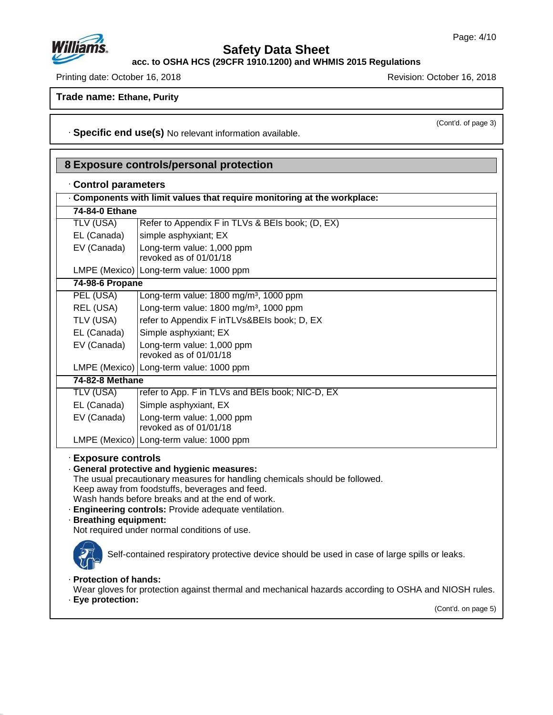**acc. to OSHA HCS (29CFR 1910.1200) and WHMIS 2015 Regulations**

Printing date: October 16, 2018 **Printing date: October 16, 2018** 

**Trade name: Ethane, Purity**

(Cont'd. of page 3)

· **Specific end use(s)** No relevant information available.

|  | Control parameters |
|--|--------------------|
|--|--------------------|

| Components with limit values that require monitoring at the workplace:                        |                                                                                                                                                                                                                                                                                                                                         |  |  |
|-----------------------------------------------------------------------------------------------|-----------------------------------------------------------------------------------------------------------------------------------------------------------------------------------------------------------------------------------------------------------------------------------------------------------------------------------------|--|--|
| 74-84-0 Ethane                                                                                |                                                                                                                                                                                                                                                                                                                                         |  |  |
| <b>TLV (USA)</b>                                                                              | Refer to Appendix F in TLVs & BEIs book; (D, EX)                                                                                                                                                                                                                                                                                        |  |  |
| EL (Canada)                                                                                   | simple asphyxiant; EX                                                                                                                                                                                                                                                                                                                   |  |  |
| EV (Canada)                                                                                   | Long-term value: 1,000 ppm                                                                                                                                                                                                                                                                                                              |  |  |
|                                                                                               | revoked as of 01/01/18                                                                                                                                                                                                                                                                                                                  |  |  |
|                                                                                               | LMPE (Mexico) Long-term value: 1000 ppm                                                                                                                                                                                                                                                                                                 |  |  |
| 74-98-6 Propane                                                                               |                                                                                                                                                                                                                                                                                                                                         |  |  |
| PEL (USA)                                                                                     | Long-term value: 1800 mg/m <sup>3</sup> , 1000 ppm                                                                                                                                                                                                                                                                                      |  |  |
| REL (USA)                                                                                     | Long-term value: 1800 mg/m <sup>3</sup> , 1000 ppm                                                                                                                                                                                                                                                                                      |  |  |
| TLV (USA)                                                                                     | refer to Appendix F inTLVs&BEIs book; D, EX                                                                                                                                                                                                                                                                                             |  |  |
| EL (Canada)                                                                                   | Simple asphyxiant; EX                                                                                                                                                                                                                                                                                                                   |  |  |
| EV (Canada)                                                                                   | Long-term value: 1,000 ppm                                                                                                                                                                                                                                                                                                              |  |  |
|                                                                                               | revoked as of 01/01/18                                                                                                                                                                                                                                                                                                                  |  |  |
|                                                                                               | LMPE (Mexico)   Long-term value: 1000 ppm                                                                                                                                                                                                                                                                                               |  |  |
| 74-82-8 Methane                                                                               |                                                                                                                                                                                                                                                                                                                                         |  |  |
| <b>TLV (USA)</b>                                                                              | refer to App. F in TLVs and BEIs book; NIC-D, EX                                                                                                                                                                                                                                                                                        |  |  |
| EL (Canada)                                                                                   | Simple asphyxiant, EX                                                                                                                                                                                                                                                                                                                   |  |  |
| EV (Canada)                                                                                   | Long-term value: 1,000 ppm<br>revoked as of 01/01/18                                                                                                                                                                                                                                                                                    |  |  |
|                                                                                               | LMPE (Mexico)   Long-term value: 1000 ppm                                                                                                                                                                                                                                                                                               |  |  |
| <b>Exposure controls</b><br>· Breathing equipment:                                            | · General protective and hygienic measures:<br>The usual precautionary measures for handling chemicals should be followed.<br>Keep away from foodstuffs, beverages and feed.<br>Wash hands before breaks and at the end of work.<br>Engineering controls: Provide adequate ventilation.<br>Not required under normal conditions of use. |  |  |
| Self-contained respiratory protective device should be used in case of large spills or leaks. |                                                                                                                                                                                                                                                                                                                                         |  |  |

# · **Protection of hands:**

Wear gloves for protection against thermal and mechanical hazards according to OSHA and NIOSH rules.

· **Eye protection:**

47.0.13

(Cont'd. on page 5)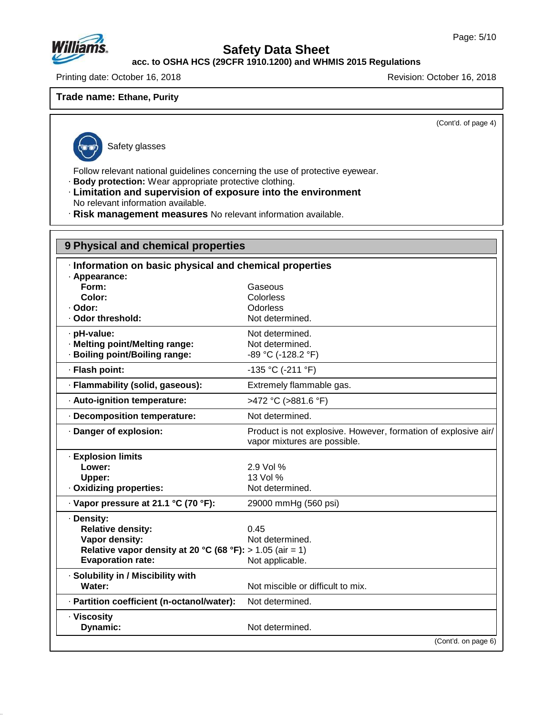

**acc. to OSHA HCS (29CFR 1910.1200) and WHMIS 2015 Regulations**

Printing date: October 16, 2018 **Printing date: October 16, 2018** 

**Trade name: Ethane, Purity**

(Cont'd. of page 4)

47.0.13

Safety glasses

Follow relevant national guidelines concerning the use of protective eyewear.

- · **Body protection:** Wear appropriate protective clothing.
- · **Limitation and supervision of exposure into the environment** No relevant information available.
- · **Risk management measures** No relevant information available.

| 9 Physical and chemical properties                          |                                                                                                |  |
|-------------------------------------------------------------|------------------------------------------------------------------------------------------------|--|
| · Information on basic physical and chemical properties     |                                                                                                |  |
| · Appearance:                                               |                                                                                                |  |
| Form:                                                       | Gaseous                                                                                        |  |
| Color:                                                      | Colorless                                                                                      |  |
| · Odor:                                                     | Odorless                                                                                       |  |
| · Odor threshold:                                           | Not determined.                                                                                |  |
| · pH-value:                                                 | Not determined.                                                                                |  |
| · Melting point/Melting range:                              | Not determined.                                                                                |  |
| · Boiling point/Boiling range:                              | -89 °C (-128.2 °F)                                                                             |  |
| · Flash point:                                              | $-135 °C$ ( $-211 °F$ )                                                                        |  |
| · Flammability (solid, gaseous):                            | Extremely flammable gas.                                                                       |  |
| · Auto-ignition temperature:                                | >472 °C (>881.6 °F)                                                                            |  |
| · Decomposition temperature:                                | Not determined.                                                                                |  |
| · Danger of explosion:                                      | Product is not explosive. However, formation of explosive air/<br>vapor mixtures are possible. |  |
| · Explosion limits                                          |                                                                                                |  |
| Lower:                                                      | 2.9 Vol %                                                                                      |  |
| Upper:                                                      | 13 Vol %                                                                                       |  |
| · Oxidizing properties:                                     | Not determined.                                                                                |  |
| · Vapor pressure at 21.1 °C (70 °F):                        | 29000 mmHg (560 psi)                                                                           |  |
| · Density:                                                  |                                                                                                |  |
| <b>Relative density:</b>                                    | 0.45                                                                                           |  |
| Vapor density:                                              | Not determined.                                                                                |  |
| Relative vapor density at 20 °C (68 °F): $> 1.05$ (air = 1) |                                                                                                |  |
| <b>Evaporation rate:</b>                                    | Not applicable.                                                                                |  |
| · Solubility in / Miscibility with                          |                                                                                                |  |
| Water:                                                      | Not miscible or difficult to mix.                                                              |  |
| · Partition coefficient (n-octanol/water):                  | Not determined.                                                                                |  |
| · Viscosity                                                 |                                                                                                |  |
| Dynamic:                                                    | Not determined.                                                                                |  |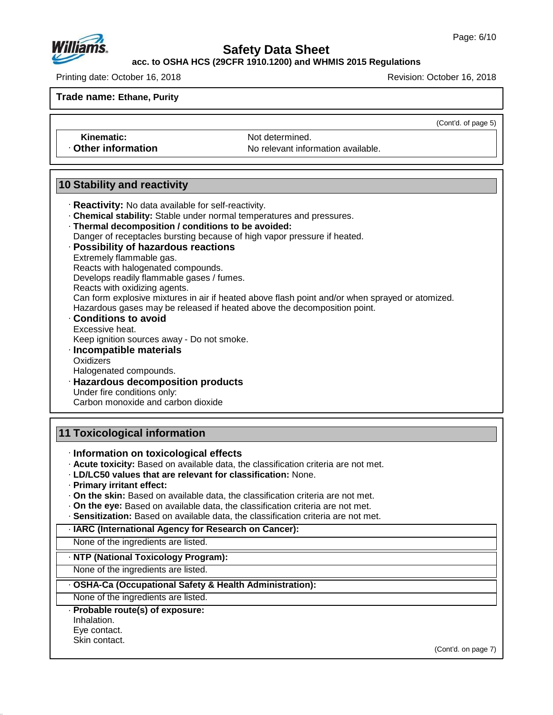**acc. to OSHA HCS (29CFR 1910.1200) and WHMIS 2015 Regulations**

Printing date: October 16, 2018 Revision: October 16, 2018

**Trade name: Ethane, Purity**

(Cont'd. of page 5)

**Kinematic:** Not determined **Other information** No relevant information available.

# **10 Stability and reactivity**

- · **Reactivity:** No data available for self-reactivity.
- · **Chemical stability:** Stable under normal temperatures and pressures.
- · **Thermal decomposition / conditions to be avoided:**
- Danger of receptacles bursting because of high vapor pressure if heated.
- · **Possibility of hazardous reactions**
- Extremely flammable gas.
- Reacts with halogenated compounds. Develops readily flammable gases / fumes.
- Reacts with oxidizing agents.
- Can form explosive mixtures in air if heated above flash point and/or when sprayed or atomized.
- Hazardous gases may be released if heated above the decomposition point.
- · **Conditions to avoid** Excessive heat.
- Keep ignition sources away Do not smoke.
- · **Incompatible materials Oxidizers**
- Halogenated compounds.
- · **Hazardous decomposition products**
- Under fire conditions only:
- Carbon monoxide and carbon dioxide

# **11 Toxicological information**

- · **Information on toxicological effects**
- · **Acute toxicity:** Based on available data, the classification criteria are not met.
- · **LD/LC50 values that are relevant for classification:** None.
- · **Primary irritant effect:**
- · **On the skin:** Based on available data, the classification criteria are not met.
- · **On the eye:** Based on available data, the classification criteria are not met.
- · **Sensitization:** Based on available data, the classification criteria are not met.
- · **IARC (International Agency for Research on Cancer):**

None of the ingredients are listed.

## · **NTP (National Toxicology Program):**

None of the ingredients are listed.

· **OSHA-Ca (Occupational Safety & Health Administration):**

None of the ingredients are listed.

### · **Probable route(s) of exposure:**

Inhalation. Eye contact.

Skin contact.

47.0.13

(Cont'd. on page 7)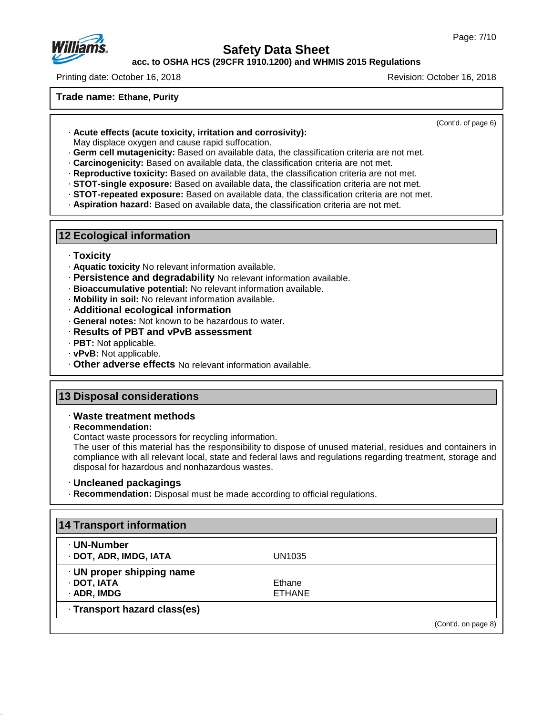

**acc. to OSHA HCS (29CFR 1910.1200) and WHMIS 2015 Regulations**

Printing date: October 16, 2018 Revision: October 16, 2018

### **Trade name: Ethane, Purity**

(Cont'd. of page 6)

· **Acute effects (acute toxicity, irritation and corrosivity):**

May displace oxygen and cause rapid suffocation.

- · **Germ cell mutagenicity:** Based on available data, the classification criteria are not met.
- · **Carcinogenicity:** Based on available data, the classification criteria are not met.
- · **Reproductive toxicity:** Based on available data, the classification criteria are not met.
- · **STOT-single exposure:** Based on available data, the classification criteria are not met.
- · **STOT-repeated exposure:** Based on available data, the classification criteria are not met.
- · **Aspiration hazard:** Based on available data, the classification criteria are not met.

# **12 Ecological information**

### · **Toxicity**

- · **Aquatic toxicity** No relevant information available.
- · **Persistence and degradability** No relevant information available.
- · **Bioaccumulative potential:** No relevant information available.
- · **Mobility in soil:** No relevant information available.
- · **Additional ecological information**
- · **General notes:** Not known to be hazardous to water.
- · **Results of PBT and vPvB assessment**
- · **PBT:** Not applicable.
- · **vPvB:** Not applicable.
- · **Other adverse effects** No relevant information available.

# **13 Disposal considerations**

### · **Waste treatment methods**

· **Recommendation:**

47.0.13

Contact waste processors for recycling information.

The user of this material has the responsibility to dispose of unused material, residues and containers in compliance with all relevant local, state and federal laws and regulations regarding treatment, storage and disposal for hazardous and nonhazardous wastes.

### · **Uncleaned packagings**

· **Recommendation:** Disposal must be made according to official regulations.

| · UN-Number               |               |  |
|---------------------------|---------------|--|
| · DOT, ADR, IMDG, IATA    | UN1035        |  |
| · UN proper shipping name |               |  |
| · DOT, IATA               | Ethane        |  |
| · ADR, IMDG               | <b>ETHANE</b> |  |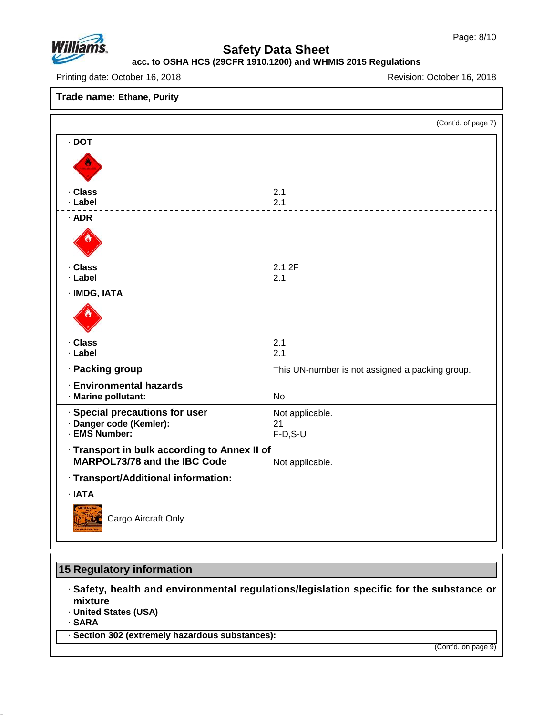

# **acc. to OSHA HCS (29CFR 1910.1200) and WHMIS 2015 Regulations**

Printing date: October 16, 2018 **Printing date: October 16, 2018** 

### **Trade name: Ethane, Purity**

|                                                           | (Cont'd. of page 7)                             |
|-----------------------------------------------------------|-------------------------------------------------|
| $\cdot$ DOT                                               |                                                 |
|                                                           |                                                 |
| · Class<br>· Label                                        | 2.1<br>2.1                                      |
| · ADR                                                     |                                                 |
|                                                           |                                                 |
| · Class                                                   | 2.1 2F                                          |
| · Label                                                   | 2.1                                             |
| · IMDG, IATA                                              |                                                 |
|                                                           |                                                 |
| · Class                                                   | 2.1                                             |
| · Label                                                   | 2.1                                             |
| · Packing group                                           | This UN-number is not assigned a packing group. |
| <b>Environmental hazards</b><br>· Marine pollutant:       | <b>No</b>                                       |
| · Special precautions for user<br>· Danger code (Kemler): | Not applicable.                                 |
| · EMS Number:                                             | 21<br>$F-D, S-U$                                |
| · Transport in bulk according to Annex II of              |                                                 |
| MARPOL73/78 and the IBC Code                              | Not applicable.                                 |
| · Transport/Additional information:                       |                                                 |
| · IATA                                                    |                                                 |
| Cargo Aircraft Only.                                      |                                                 |

# **15 Regulatory information**

· **Safety, health and environmental regulations/legislation specific for the substance or mixture**

· **United States (USA)**

· **SARA**

47.0.13

· **Section 302 (extremely hazardous substances):**

(Cont'd. on page 9)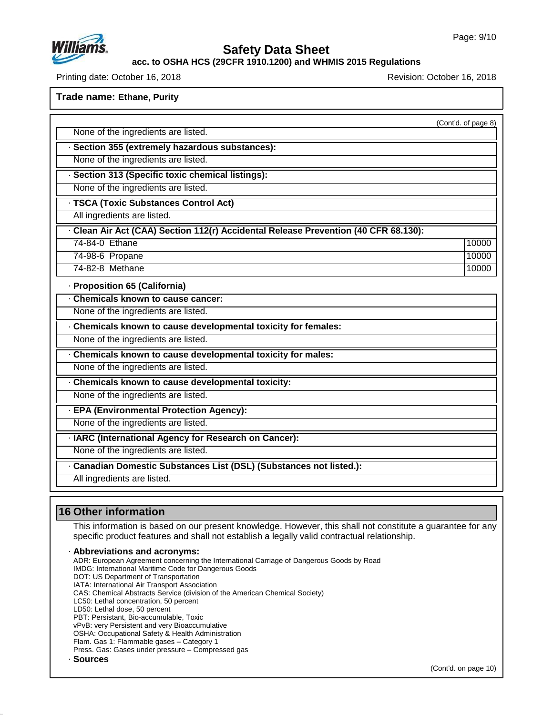

### **acc. to OSHA HCS (29CFR 1910.1200) and WHMIS 2015 Regulations**

Printing date: October 16, 2018 Revision: October 16, 2018

**Trade name: Ethane, Purity**

(Cont'd. of page 8)

None of the ingredients are listed.

· **Section 355 (extremely hazardous substances):**

None of the ingredients are listed.

· **Section 313 (Specific toxic chemical listings):**

None of the ingredients are listed.

· **TSCA (Toxic Substances Control Act)**

All ingredients are listed.

· **Clean AirAct (CAA) Section 112(r) Accidental Release Prevention (40 CFR 68.130):**

74-84-0 Ethane 10000 | 10000 | 10000 | 10000 | 10000 | 10000 | 10000 | 10000 | 10000 | 10000 | 10000 | 10000 | 74-98-6 Propane 10000 and 10000 and 10000 and 10000 and 10000 and 10000 and 10000 and 10000 and 10000 and 10000 and 10000 and 10000 and 10000 and 10000 and 10000 and 10000 and 10000 and 10000 and 10000 and 10000 and 10000

74-82-8 Methane 10000 10000 10000 10000 10000 10000 10000 10000 10000 10000 10000 10000 10000 10000 10000 1000

· **Proposition 65 (California)**

· **Chemicals known to cause cancer:**

None of the ingredients are listed.

· **Chemicals known to cause developmental toxicity for females:**

None of the ingredients are listed.

· **Chemicals known to cause developmental toxicity for males:**

None of the ingredients are listed.

· **Chemicals known to cause developmental toxicity:**

None of the ingredients are listed.

· **EPA (Environmental Protection Agency):**

None of the ingredients are listed.

· **IARC (International Agency for Research on Cancer):**

None of the ingredients are listed.

· **Canadian Domestic Substances List (DSL) (Substances not listed.):**

All ingredients are listed.

# **16 Other information**

This information is based on our present knowledge. However, this shall not constitute a guarantee for any specific product features and shall not establish a legally valid contractual relationship.

· **Abbreviations and acronyms:** ADR: European Agreement concerning the International Carriage of Dangerous Goods by Road IMDG: International Maritime Code for Dangerous Goods DOT: US Department of Transportation IATA: International Air Transport Association CAS: Chemical Abstracts Service (division of the American Chemical Society) LC50: Lethal concentration, 50 percent LD50: Lethal dose, 50 percent PBT: Persistant, Bio-accumulable, Toxic vPvB: very Persistent and very Bioaccumulative OSHA: Occupational Safety & Health Administration Flam. Gas 1: Flammable gases – Category 1

Press. Gas: Gases under pressure – Compressed gas

47.0.13